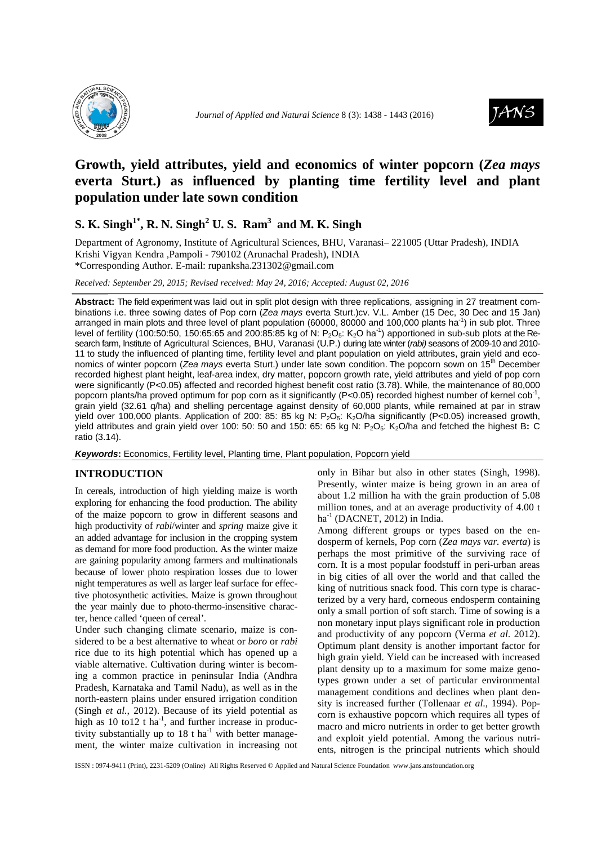



# **Growth, yield attributes, yield and economics of winter popcorn (***Zea mays*  **everta Sturt.) as influenced by planting time fertility level and plant population under late sown condition**

# **S. K. Singh1\*, R. N. Singh<sup>2</sup> U. S. Ram<sup>3</sup>and M. K. Singh**

Department of Agronomy, Institute of Agricultural Sciences, BHU, Varanasi– 221005 (Uttar Pradesh), INDIA Krishi Vigyan Kendra ,Pampoli - 790102 (Arunachal Pradesh), INDIA \*Corresponding Author. E-mail: rupanksha.231302@gmail.com

*Received: September 29, 2015; Revised received: May 24, 2016; Accepted: August 02, 2016*

**Abstract:** The field experiment was laid out in split plot design with three replications, assigning in 27 treatment combinations i.e. three sowing dates of Pop corn (Zea mays everta Sturt.)cv. V.L. Amber (15 Dec, 30 Dec and 15 Jan) arranged in main plots and three level of plant population (60000, 80000 and 100,000 plants ha<sup>-1</sup>) in sub plot. Three level of fertility (100:50:50, 150:65:65 and 200:85:85 kg of N:  $P_2O_5$ : K<sub>2</sub>O ha<sup>-1</sup>) apportioned in sub-sub plots at the Research farm, Institute of Agricultural Sciences, BHU, Varanasi (U.P.) during late winter (rabi) seasons of 2009-10 and 2010-11 to study the influenced of planting time, fertility level and plant population on yield attributes, grain yield and economics of winter popcorn (Zea mays everta Sturt.) under late sown condition. The popcorn sown on 15<sup>th</sup> December recorded highest plant height, leaf-area index, dry matter, popcorn growth rate, yield attributes and yield of pop corn were significantly (P<0.05) affected and recorded highest benefit cost ratio (3.78). While, the maintenance of 80,000 popcorn plants/ha proved optimum for pop corn as it significantly (P<0.05) recorded highest number of kernel cob<sup>-1</sup>, grain yield (32.61 q/ha) and shelling percentage against density of 60,000 plants, while remained at par in straw yield over 100,000 plants. Application of 200: 85: 85 kg N:  $P_2O_5$ : K<sub>2</sub>O/ha significantly (P<0.05) increased growth, yield attributes and grain yield over 100: 50: 50 and 150: 65: 65 kg N: P2O5: K2O/ha and fetched the highest B**:** C ratio (3.14).

**Keywords:** Economics, Fertility level, Planting time, Plant population, Popcorn yield

# **INTRODUCTION**

In cereals, introduction of high yielding maize is worth exploring for enhancing the food production. The ability of the maize popcorn to grow in different seasons and high productivity of *rabi*/winter and *spring* maize give it an added advantage for inclusion in the cropping system as demand for more food production. As the winter maize are gaining popularity among farmers and multinationals because of lower photo respiration losses due to lower night temperatures as well as larger leaf surface for effective photosynthetic activities. Maize is grown throughout the year mainly due to photo-thermo-insensitive character, hence called 'queen of cereal'.

Under such changing climate scenario, maize is considered to be a best alternative to wheat or *boro* or *rabi*  rice due to its high potential which has opened up a viable alternative. Cultivation during winter is becoming a common practice in peninsular India (Andhra Pradesh, Karnataka and Tamil Nadu), as well as in the north-eastern plains under ensured irrigation condition (Singh *et al.,* 2012). Because of its yield potential as high as  $10$  to  $12$  t ha<sup>-1</sup>, and further increase in productivity substantially up to  $18$  t ha<sup>-1</sup> with better management, the winter maize cultivation in increasing not

only in Bihar but also in other states (Singh, 1998). Presently, winter maize is being grown in an area of about 1.2 million ha with the grain production of 5.08 million tones, and at an average productivity of 4.00 t  $ha^{-1}$  (DACNET, 2012) in India.

Among different groups or types based on the endosperm of kernels, Pop corn (*Zea mays var. everta*) is perhaps the most primitive of the surviving race of corn. It is a most popular foodstuff in peri-urban areas in big cities of all over the world and that called the king of nutritious snack food. This corn type is characterized by a very hard, corneous endosperm containing only a small portion of soft starch. Time of sowing is a non monetary input plays significant role in production and productivity of any popcorn (Verma *et al*. 2012). Optimum plant density is another important factor for high grain yield. Yield can be increased with increased plant density up to a maximum for some maize genotypes grown under a set of particular environmental management conditions and declines when plant density is increased further (Tollenaar *et al*., 1994). Popcorn is exhaustive popcorn which requires all types of macro and micro nutrients in order to get better growth and exploit yield potential. Among the various nutrients, nitrogen is the principal nutrients which should

ISSN : 0974-9411 (Print), 2231-5209 (Online) All Rights Reserved © Applied and Natural Science Foundation www.jans.ansfoundation.org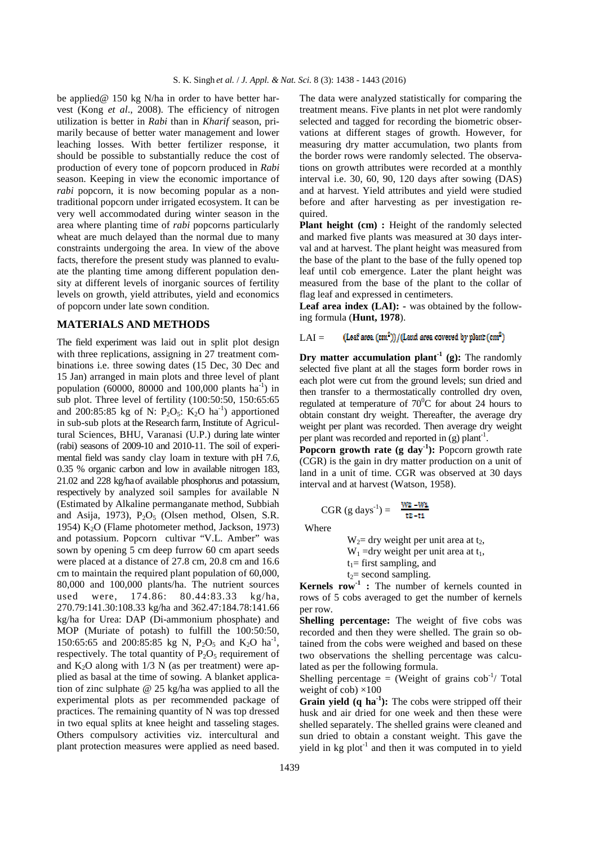be applied@ 150 kg N/ha in order to have better harvest (Kong *et al*., 2008). The efficiency of nitrogen utilization is better in *Rabi* than in *Kharif* season, primarily because of better water management and lower leaching losses. With better fertilizer response, it should be possible to substantially reduce the cost of production of every tone of popcorn produced in *Rabi*  season. Keeping in view the economic importance of *rabi* popcorn, it is now becoming popular as a nontraditional popcorn under irrigated ecosystem. It can be very well accommodated during winter season in the area where planting time of *rabi* popcorns particularly wheat are much delayed than the normal due to many constraints undergoing the area. In view of the above facts, therefore the present study was planned to evaluate the planting time among different population density at different levels of inorganic sources of fertility levels on growth, yield attributes, yield and economics of popcorn under late sown condition.

### **MATERIALS AND METHODS**

The field experiment was laid out in split plot design with three replications, assigning in 27 treatment combinations i.e. three sowing dates (15 Dec, 30 Dec and 15 Jan) arranged in main plots and three level of plant population (60000, 80000 and 100,000 plants  $ha^{-1}$ ) in sub plot. Three level of fertility (100:50:50, 150:65:65 and 200:85:85 kg of N:  $P_2O_5$ :  $K_2O$  ha<sup>-1</sup>) apportioned in sub-sub plots at the Research farm, Institute of Agricultural Sciences, BHU, Varanasi (U.P.) during late winter (rabi) seasons of 2009-10 and 2010-11. The soil of experimental field was sandy clay loam in texture with pH 7.6, 0.35 % organic carbon and low in available nitrogen 183, 21.02 and 228 kg/haof available phosphorus and potassium, respectively by analyzed soil samples for available N (Estimated by Alkaline permanganate method, Subbiah and Asija, 1973),  $P_2O_5$  (Olsen method, Olsen, S.R. 1954) K<sub>2</sub>O (Flame photometer method, Jackson, 1973) and potassium. Popcorn cultivar "V.L. Amber" was sown by opening 5 cm deep furrow 60 cm apart seeds were placed at a distance of 27.8 cm, 20.8 cm and 16.6 cm to maintain the required plant population of 60,000, 80,000 and 100,000 plants/ha. The nutrient sources used were, 174.86: 80.44:83.33 kg/ha, 270.79:141.30:108.33 kg/ha and 362.47:184.78:141.66 kg/ha for Urea: DAP (Di-ammonium phosphate) and MOP (Muriate of potash) to fulfill the 100:50:50, 150:65:65 and 200:85:85 kg N,  $P_2O_5$  and K<sub>2</sub>O ha<sup>-1</sup>, respectively. The total quantity of  $P_2O_5$  requirement of and  $K_2O$  along with  $1/3$  N (as per treatment) were applied as basal at the time of sowing. A blanket application of zinc sulphate @ 25 kg/ha was applied to all the experimental plots as per recommended package of practices. The remaining quantity of N was top dressed in two equal splits at knee height and tasseling stages. Others compulsory activities viz. intercultural and plant protection measures were applied as need based.

The data were analyzed statistically for comparing the treatment means. Five plants in net plot were randomly selected and tagged for recording the biometric observations at different stages of growth. However, for measuring dry matter accumulation, two plants from the border rows were randomly selected. The observations on growth attributes were recorded at a monthly interval i.e. 30, 60, 90, 120 days after sowing (DAS) and at harvest. Yield attributes and yield were studied before and after harvesting as per investigation required.

**Plant height (cm) :** Height of the randomly selected and marked five plants was measured at 30 days interval and at harvest. The plant height was measured from the base of the plant to the base of the fully opened top leaf until cob emergence. Later the plant height was measured from the base of the plant to the collar of flag leaf and expressed in centimeters.

Leaf area index (LAI): - was obtained by the following formula (**Hunt, 1978**).

#### $(\mbox{Leaf area } (\mbox{cm}^2)) / (\mbox{Land area covered by plant } (\mbox{cm}^2)$  $LAI =$

 **Dry matter accumulation plant-1 (g):** The randomly selected five plant at all the stages form border rows in each plot were cut from the ground levels; sun dried and then transfer to a thermostatically controlled dry oven, regulated at temperature of  $70^{\circ}$ C for about 24 hours to obtain constant dry weight. Thereafter, the average dry weight per plant was recorded. Then average dry weight per plant was recorded and reported in (g) plant<sup>-1</sup>.

**Popcorn growth rate (g day<sup>1</sup>):** Popcorn growth rate (CGR) is the gain in dry matter production on a unit of land in a unit of time. CGR was observed at 30 days interval and at harvest (Watson, 1958).

$$
CGR (g days-1) = \frac{Wz - W_1}{tz - t1}
$$

Where

 $W_2$ = dry weight per unit area at t<sub>2</sub>,  $W_1 =$ dry weight per unit area at t<sub>1</sub>,  $t_1$ = first sampling, and  $t_2$ = second sampling.

**Kernels row<sup>1</sup>** : The number of kernels counted in rows of 5 cobs averaged to get the number of kernels per row.

**Shelling percentage:** The weight of five cobs was recorded and then they were shelled. The grain so obtained from the cobs were weighed and based on these two observations the shelling percentage was calculated as per the following formula.

Shelling percentage = (Weight of grains  $\cosh^{-1}$  Total weight of cob)  $\times 100$ 

Grain yield (q ha<sup>-1</sup>): The cobs were stripped off their husk and air dried for one week and then these were shelled separately. The shelled grains were cleaned and sun dried to obtain a constant weight. This gave the yield in  $kg$  plot<sup>-1</sup> and then it was computed in to yield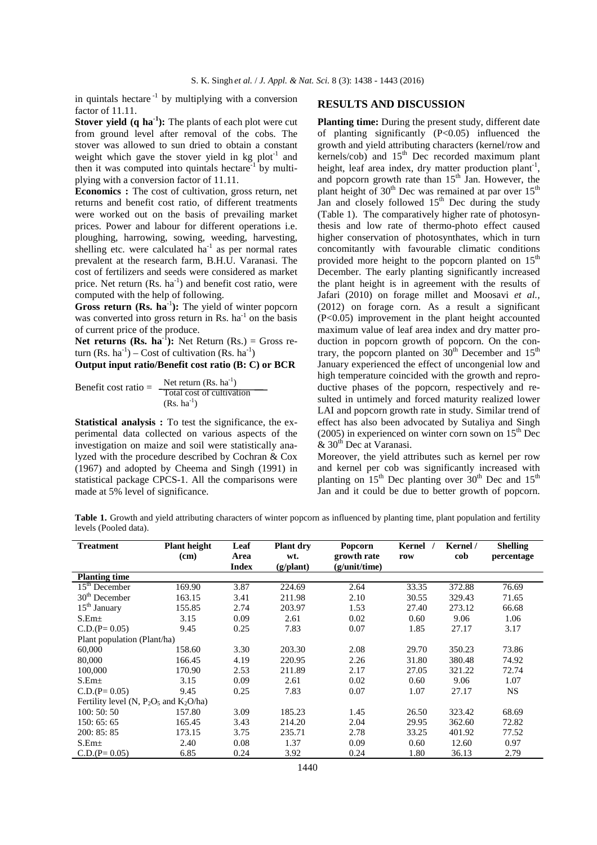in quintals hectare  $^{-1}$  by multiplying with a conversion factor of 11.11.

**Stover yield (q ha<sup>1</sup>):** The plants of each plot were cut from ground level after removal of the cobs. The stover was allowed to sun dried to obtain a constant weight which gave the stover yield in  $kg$  plot<sup>-1</sup> and then it was computed into quintals hectare $1$  by multiplying with a conversion factor of 11.11.

**Economics :** The cost of cultivation, gross return, net returns and benefit cost ratio, of different treatments were worked out on the basis of prevailing market prices. Power and labour for different operations i.e. ploughing, harrowing, sowing, weeding, harvesting, shelling etc. were calculated  $ha^{-1}$  as per normal rates prevalent at the research farm, B.H.U. Varanasi. The cost of fertilizers and seeds were considered as market price. Net return  $(Rs, ha^{-1})$  and benefit cost ratio, were computed with the help of following.

Gross return (Rs. ha<sup>-1</sup>): The yield of winter popcorn was converted into gross return in Rs.  $ha^{-1}$  on the basis of current price of the produce.

**Net returns (Rs. ha<sup>-1</sup>):** Net Return (Rs.) = Gross return (Rs.  $ha^{-1}$ ) – Cost of cultivation (Rs.  $ha^{-1}$ )

**Output input ratio/Benefit cost ratio (B: C) or BCR**

Benefit cost ratio =  $\frac{\text{Net return (Rs. ha}^{-1})}{\text{Total cost of adjustment}}$ Total cost of cultivation  $(Rs. ha<sup>-1</sup>)$ 

**Statistical analysis :** To test the significance, the experimental data collected on various aspects of the investigation on maize and soil were statistically analyzed with the procedure described by Cochran & Cox (1967) and adopted by Cheema and Singh (1991) in statistical package CPCS-1. All the comparisons were made at 5% level of significance.

# **RESULTS AND DISCUSSION**

Planting time: During the present study, different date of planting significantly  $(P<0.05)$  influenced the growth and yield attributing characters (kernel/row and  $k$ ernels/cob) and  $15<sup>th</sup>$  Dec recorded maximum plant height, leaf area index, dry matter production  $\text{plant}^{-1}$ , and popcorn growth rate than  $15<sup>th</sup>$  Jan. However, the plant height of  $30<sup>th</sup>$  Dec was remained at par over  $15<sup>th</sup>$ Jan and closely followed  $15<sup>th</sup>$  Dec during the study (Table 1). The comparatively higher rate of photosynthesis and low rate of thermo-photo effect caused higher conservation of photosynthates, which in turn concomitantly with favourable climatic conditions provided more height to the popcorn planted on  $15<sup>th</sup>$ December. The early planting significantly increased the plant height is in agreement with the results of Jafari (2010) on forage millet and Moosavi *et al.,*  (2012) on forage corn. As a result a significant (P<0.05) improvement in the plant height accounted maximum value of leaf area index and dry matter production in popcorn growth of popcorn. On the contrary, the popcorn planted on  $30<sup>th</sup>$  December and  $15<sup>th</sup>$ January experienced the effect of uncongenial low and high temperature coincided with the growth and reproductive phases of the popcorn, respectively and resulted in untimely and forced maturity realized lower LAI and popcorn growth rate in study. Similar trend of effect has also been advocated by Sutaliya and Singh (2005) in experienced on winter corn sown on  $15<sup>th</sup>$  Dec  $& 30<sup>th</sup>$  Dec at Varanasi.

Moreover, the yield attributes such as kernel per row and kernel per cob was significantly increased with planting on  $15<sup>th</sup>$  Dec planting over  $30<sup>th</sup>$  Dec and  $15<sup>th</sup>$ Jan and it could be due to better growth of popcorn.

Table 1. Growth and yield attributing characters of winter popcorn as influenced by planting time, plant population and fertility levels (Pooled data).

| <b>Treatment</b>                             | <b>Plant height</b> | Leaf         | <b>Plant dry</b> | Popcorn       | Kernel | Kernel / | <b>Shelling</b> |  |  |  |
|----------------------------------------------|---------------------|--------------|------------------|---------------|--------|----------|-----------------|--|--|--|
|                                              | (cm)                | Area         | wt.              | growth rate   | row    | cob      | percentage      |  |  |  |
|                                              |                     | <b>Index</b> | (g/plant)        | (g/unit/time) |        |          |                 |  |  |  |
| <b>Planting time</b>                         |                     |              |                  |               |        |          |                 |  |  |  |
| $15th$ December                              | 169.90              | 3.87         | 224.69           | 2.64          | 33.35  | 372.88   | 76.69           |  |  |  |
| $30th$ December                              | 163.15              | 3.41         | 211.98           | 2.10          | 30.55  | 329.43   | 71.65           |  |  |  |
| 15 <sup>th</sup> January                     | 155.85              | 2.74         | 203.97           | 1.53          | 27.40  | 273.12   | 66.68           |  |  |  |
| $S.Em\pm$                                    | 3.15                | 0.09         | 2.61             | 0.02          | 0.60   | 9.06     | 1.06            |  |  |  |
| $C.D.(P=0.05)$                               | 9.45                | 0.25         | 7.83             | 0.07          | 1.85   | 27.17    | 3.17            |  |  |  |
| Plant population (Plant/ha)                  |                     |              |                  |               |        |          |                 |  |  |  |
| 60,000                                       | 158.60              | 3.30         | 203.30           | 2.08          | 29.70  | 350.23   | 73.86           |  |  |  |
| 80,000                                       | 166.45              | 4.19         | 220.95           | 2.26          | 31.80  | 380.48   | 74.92           |  |  |  |
| 100,000                                      | 170.90              | 2.53         | 211.89           | 2.17          | 27.05  | 321.22   | 72.74           |  |  |  |
| $S.Em\pm$                                    | 3.15                | 0.09         | 2.61             | 0.02          | 0.60   | 9.06     | 1.07            |  |  |  |
| $C.D.(P=0.05)$                               | 9.45                | 0.25         | 7.83             | 0.07          | 1.07   | 27.17    | <b>NS</b>       |  |  |  |
| Fertility level (N, $P_2O_5$ and $K_2O/ha$ ) |                     |              |                  |               |        |          |                 |  |  |  |
| 100:50:50                                    | 157.80              | 3.09         | 185.23           | 1.45          | 26.50  | 323.42   | 68.69           |  |  |  |
| 150:65:65                                    | 165.45              | 3.43         | 214.20           | 2.04          | 29.95  | 362.60   | 72.82           |  |  |  |
| 200: 85: 85                                  | 173.15              | 3.75         | 235.71           | 2.78          | 33.25  | 401.92   | 77.52           |  |  |  |
| $S.Em\pm$                                    | 2.40                | 0.08         | 1.37             | 0.09          | 0.60   | 12.60    | 0.97            |  |  |  |
| $C.D.(P=0.05)$                               | 6.85                | 0.24         | 3.92             | 0.24          | 1.80   | 36.13    | 2.79            |  |  |  |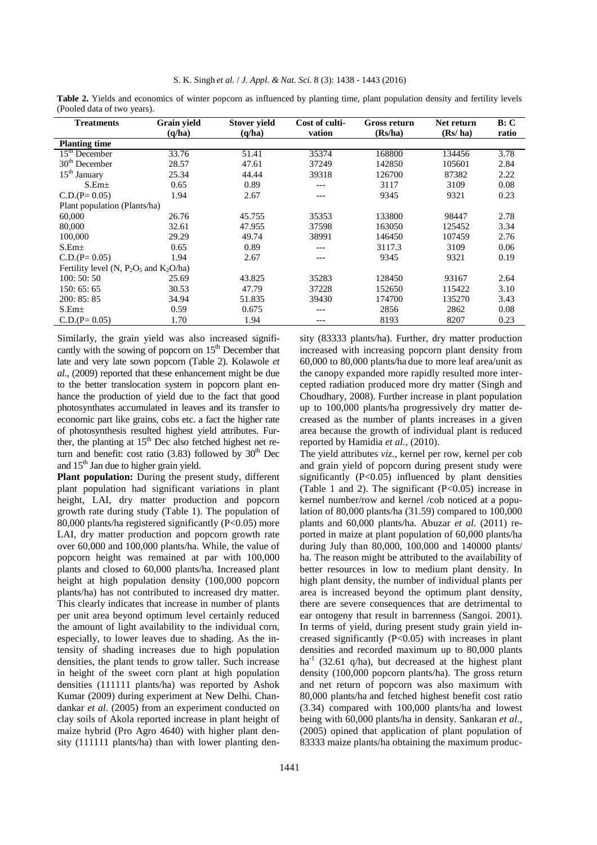| <b>Treatments</b>                            | Grain yield | <b>Stover yield</b> | Cost of culti- | Gross return | Net return | B: C  |  |  |  |  |  |
|----------------------------------------------|-------------|---------------------|----------------|--------------|------------|-------|--|--|--|--|--|
|                                              | (q/ha)      | (q/ha)              | vation         | (Rs/ha)      | (Rs/ ha)   | ratio |  |  |  |  |  |
| <b>Planting time</b>                         |             |                     |                |              |            |       |  |  |  |  |  |
| $15th$ December                              | 33.76       | 51.41               | 35374          | 168800       | 134456     | 3.78  |  |  |  |  |  |
| $30th$ December                              | 28.57       | 47.61               | 37249          | 142850       | 105601     | 2.84  |  |  |  |  |  |
| 15 <sup>th</sup> January                     | 25.34       | 44.44               | 39318          | 126700       | 87382      | 2.22  |  |  |  |  |  |
| S.Em <sub>±</sub>                            | 0.65        | 0.89                |                | 3117         | 3109       | 0.08  |  |  |  |  |  |
| $C.D.(P=0.05)$                               | 1.94        | 2.67                | ---            | 9345         | 9321       | 0.23  |  |  |  |  |  |
| Plant population (Plants/ha)                 |             |                     |                |              |            |       |  |  |  |  |  |
| 60,000                                       | 26.76       | 45.755              | 35353          | 133800       | 98447      | 2.78  |  |  |  |  |  |
| 80,000                                       | 32.61       | 47.955              | 37598          | 163050       | 125452     | 3.34  |  |  |  |  |  |
| 100,000                                      | 29.29       | 49.74               | 38991          | 146450       | 107459     | 2.76  |  |  |  |  |  |
| $S.Em\pm$                                    | 0.65        | 0.89                | ---            | 3117.3       | 3109       | 0.06  |  |  |  |  |  |
| $C.D.(P=0.05)$                               | 1.94        | 2.67                | ---            | 9345         | 9321       | 0.19  |  |  |  |  |  |
| Fertility level (N, $P_2O_5$ and $K_2O/ha$ ) |             |                     |                |              |            |       |  |  |  |  |  |
| 100:50:50                                    | 25.69       | 43.825              | 35283          | 128450       | 93167      | 2.64  |  |  |  |  |  |
| 150:65:65                                    | 30.53       | 47.79               | 37228          | 152650       | 115422     | 3.10  |  |  |  |  |  |
| 200: 85: 85                                  | 34.94       | 51.835              | 39430          | 174700       | 135270     | 3.43  |  |  |  |  |  |
| $S.Em\pm$                                    | 0.59        | 0.675               | ---            | 2856         | 2862       | 0.08  |  |  |  |  |  |
| $C.D.(P=0.05)$                               | 1.70        | 1.94                | ---            | 8193         | 8207       | 0.23  |  |  |  |  |  |

**Table 2.** Yields and economics of winter popcorn as influenced by planting time, plant population density and fertility levels (Pooled data of two years).

Similarly, the grain yield was also increased significantly with the sowing of popcorn on  $15<sup>th</sup>$  December that late and very late sown popcorn (Table 2). Kolawole *et al*., (2009) reported that these enhancement might be due to the better translocation system in popcorn plant enhance the production of yield due to the fact that good photosynthates accumulated in leaves and its transfer to economic part like grains, cobs etc. a fact the higher rate of photosynthesis resulted highest yield attributes. Further, the planting at  $15<sup>th</sup>$  Dec also fetched highest net return and benefit: cost ratio  $(3.83)$  followed by  $30<sup>th</sup>$  Dec and  $15<sup>th</sup>$  Jan due to higher grain yield.

Plant population: During the present study, different plant population had significant variations in plant height, LAI, dry matter production and popcorn growth rate during study (Table 1). The population of 80,000 plants/ha registered significantly  $(P<0.05)$  more LAI, dry matter production and popcorn growth rate over 60,000 and 100,000 plants/ha. While, the value of popcorn height was remained at par with 100,000 plants and closed to 60,000 plants/ha. Increased plant height at high population density (100,000 popcorn plants/ha) has not contributed to increased dry matter. This clearly indicates that increase in number of plants per unit area beyond optimum level certainly reduced the amount of light availability to the individual corn, especially, to lower leaves due to shading. As the intensity of shading increases due to high population densities, the plant tends to grow taller. Such increase in height of the sweet corn plant at high population densities (111111 plants/ha) was reported by Ashok Kumar (2009) during experiment at New Delhi. Chandankar *et al*. (2005) from an experiment conducted on clay soils of Akola reported increase in plant height of maize hybrid (Pro Agro 4640) with higher plant density (111111 plants/ha) than with lower planting den-

sity (83333 plants/ha). Further, dry matter production increased with increasing popcorn plant density from 60,000 to 80,000 plants/ha due to more leaf area/unit as the canopy expanded more rapidly resulted more intercepted radiation produced more dry matter (Singh and Choudhary, 2008). Further increase in plant population up to 100,000 plants/ha progressively dry matter decreased as the number of plants increases in a given area because the growth of individual plant is reduced reported by Hamidia *et al.,* (2010).

The yield attributes *viz.*, kernel per row, kernel per cob and grain yield of popcorn during present study were significantly  $(P<0.05)$  influenced by plant densities (Table 1 and 2). The significant  $(P<0.05)$  increase in kernel number/row and kernel /cob noticed at a population of 80,000 plants/ha (31.59) compared to 100,000 plants and 60,000 plants/ha. Abuzar *et al*. (2011) reported in maize at plant population of 60,000 plants/ha during July than 80,000, 100,000 and 140000 plants/ ha. The reason might be attributed to the availability of better resources in low to medium plant density. In high plant density, the number of individual plants per area is increased beyond the optimum plant density, there are severe consequences that are detrimental to ear ontogeny that result in barrenness (Sangoi. 2001). In terms of yield, during present study grain yield increased significantly  $(P<0.05)$  with increases in plant densities and recorded maximum up to 80,000 plants ha<sup>-1</sup> (32.61 q/ha), but decreased at the highest plant density (100,000 popcorn plants/ha). The gross return and net return of popcorn was also maximum with 80,000 plants/ha and fetched highest benefit cost ratio (3.34) compared with 100,000 plants/ha and lowest being with 60,000 plants/ha in density. Sankaran *et al.,*  (2005) opined that application of plant population of 83333 maize plants/ha obtaining the maximum produc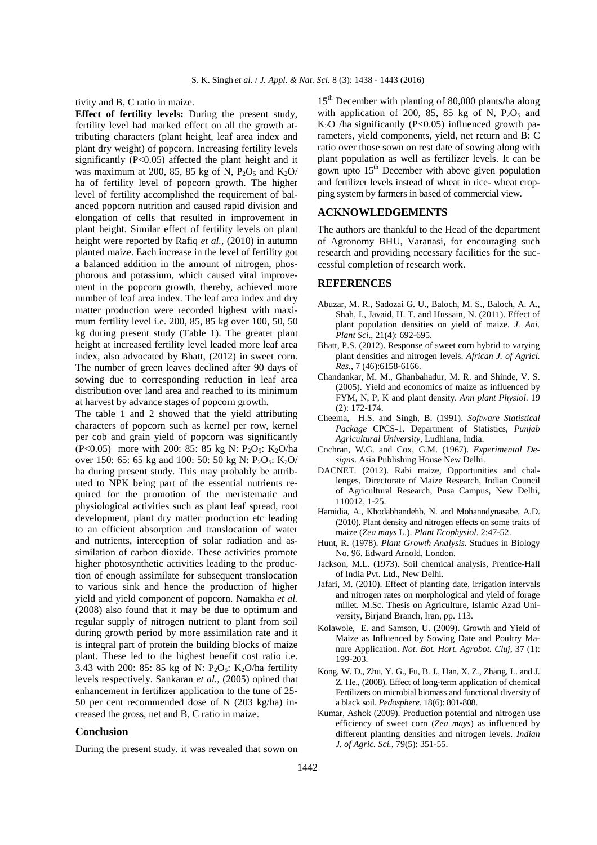tivity and B, C ratio in maize.

**Effect of fertility levels:** During the present study, fertility level had marked effect on all the growth attributing characters (plant height, leaf area index and plant dry weight) of popcorn. Increasing fertility levels significantly (P<0.05) affected the plant height and it was maximum at 200, 85, 85 kg of N,  $P_2O_5$  and  $K_2O/$ ha of fertility level of popcorn growth. The higher level of fertility accomplished the requirement of balanced popcorn nutrition and caused rapid division and elongation of cells that resulted in improvement in plant height. Similar effect of fertility levels on plant height were reported by Rafiq *et al.*, (2010) in autumn planted maize. Each increase in the level of fertility got a balanced addition in the amount of nitrogen, phosphorous and potassium, which caused vital improvement in the popcorn growth, thereby, achieved more number of leaf area index. The leaf area index and dry matter production were recorded highest with maximum fertility level i.e. 200, 85, 85 kg over 100, 50, 50 kg during present study (Table 1). The greater plant height at increased fertility level leaded more leaf area index, also advocated by Bhatt, (2012) in sweet corn. The number of green leaves declined after 90 days of sowing due to corresponding reduction in leaf area distribution over land area and reached to its minimum at harvest by advance stages of popcorn growth.

The table 1 and 2 showed that the yield attributing characters of popcorn such as kernel per row, kernel per cob and grain yield of popcorn was significantly (P<0.05) more with 200: 85: 85 kg N: P<sub>2</sub>O<sub>5</sub>: K<sub>2</sub>O/ha over 150: 65: 65 kg and 100: 50: 50 kg N:  $P_2O_5$ : K<sub>2</sub>O/ ha during present study. This may probably be attributed to NPK being part of the essential nutrients required for the promotion of the meristematic and physiological activities such as plant leaf spread, root development, plant dry matter production etc leading to an efficient absorption and translocation of water and nutrients, interception of solar radiation and assimilation of carbon dioxide. These activities promote higher photosynthetic activities leading to the production of enough assimilate for subsequent translocation to various sink and hence the production of higher yield and yield component of popcorn. Namakha *et al.*  (2008) also found that it may be due to optimum and regular supply of nitrogen nutrient to plant from soil during growth period by more assimilation rate and it is integral part of protein the building blocks of maize plant. These led to the highest benefit cost ratio i.e. 3.43 with 200: 85: 85 kg of N:  $P_2O_5$ : K<sub>2</sub>O/ha fertility levels respectively. Sankaran *et al.,* (2005) opined that enhancement in fertilizer application to the tune of 25- 50 per cent recommended dose of N (203 kg/ha) increased the gross, net and B, C ratio in maize.

## **Conclusion**

During the present study. it was revealed that sown on

15<sup>th</sup> December with planting of 80,000 plants/ha along with application of 200, 85, 85 kg of N,  $P_2O_5$  and  $K<sub>2</sub>O$  /ha significantly (P<0.05) influenced growth parameters, yield components, yield, net return and B: C ratio over those sown on rest date of sowing along with plant population as well as fertilizer levels. It can be gown upto  $15<sup>th</sup>$  December with above given population and fertilizer levels instead of wheat in rice- wheat cropping system by farmers in based of commercial view.

## **ACKNOWLEDGEMENTS**

The authors are thankful to the Head of the department of Agronomy BHU, Varanasi, for encouraging such research and providing necessary facilities for the successful completion of research work.

# **REFERENCES**

- Abuzar, M. R., Sadozai G. U., Baloch, M. S., Baloch, A. A., Shah, I., Javaid, H. T. and Hussain, N. (2011). Effect of plant population densities on yield of maize. *J. Ani. Plant Sci*., 21(4): 692-695.
- Bhatt, P.S. (2012). Response of sweet corn hybrid to varying plant densities and nitrogen levels. *African J. of Agricl. Res.*, 7 (46):6158-6166.
- Chandankar, M. M., Ghanbahadur, M. R. and Shinde, V. S. (2005). Yield and economics of maize as influenced by FYM, N, P, K and plant density. *Ann plant Physiol*. 19 (2): 172-174.
- Cheema, H.S. and Singh, B. (1991). *Software Statistical Package* CPCS-1. Department of Statistics, *Punjab Agricultural University*, Ludhiana, India.
- Cochran, W.G. and Cox, G.M. (1967). *Experimental Designs*. Asia Publishing House New Delhi.
- DACNET. (2012). Rabi maize, Opportunities and challenges, Directorate of Maize Research, Indian Council of Agricultural Research, Pusa Campus, New Delhi, 110012, 1-25.
- Hamidia, A., Khodabhandehb, N. and Mohanndynasabe, A.D. (2010). Plant density and nitrogen effects on some traits of maize (*Zea mays* L.). *Plant Ecophysiol*. 2:47-52.
- Hunt, R. (1978). *Plant Growth Analysis*. Studues in Biology No. 96. Edward Arnold, London.
- Jackson, M.L. (1973). Soil chemical analysis, Prentice-Hall of India Pvt. Ltd., New Delhi.
- Jafari, M. (2010). Effect of planting date, irrigation intervals and nitrogen rates on morphological and yield of forage millet. M.Sc. Thesis on Agriculture, Islamic Azad University, Birjand Branch, Iran, pp. 113.
- Kolawole, E. and Samson, U. (2009). Growth and Yield of Maize as Influenced by Sowing Date and Poultry Manure Application. *Not. Bot. Hort. Agrobot. Cluj,* 37 (1): 199-203.
- Kong, W. D., Zhu, Y. G., Fu, B. J., Han, X. Z., Zhang, L. and J. Z. He., (2008). Effect of long-term application of chemical Fertilizers on microbial biomass and functional diversity of a black soil. *Pedosphere*. 18(6): 801-808.
- Kumar, Ashok (2009). Production potential and nitrogen use efficiency of sweet corn (*Zea mays*) as influenced by different planting densities and nitrogen levels. *Indian J. of Agric. Sci.,* 79(5): 351-55.